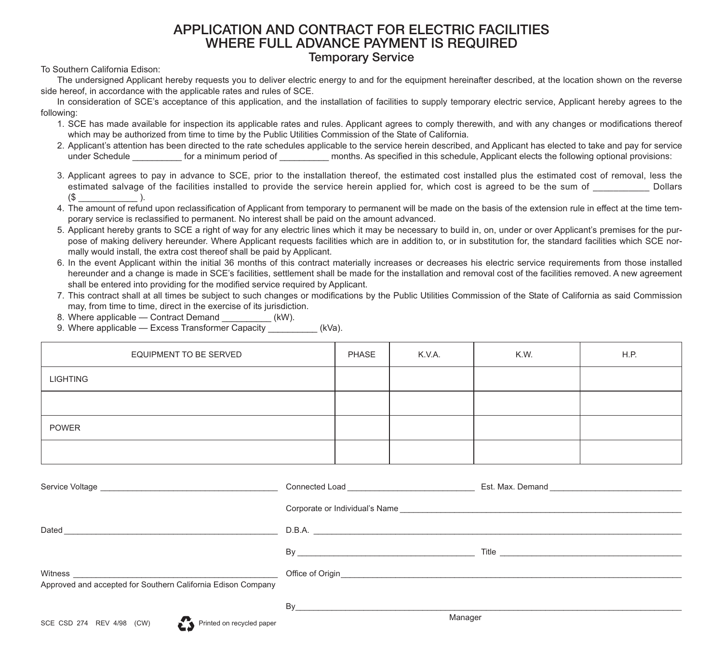## **APPLICATION AND CONTRACT FOR ELECTRIC FACILITIES WHERE FULL ADVANCE PAYMENT IS REQUIRED Temporary Service**

To Southern California Edison:

The undersigned Applicant hereby requests you to deliver electric energy to and for the equipment hereinafter described, at the location shown on the reverse side hereof, in accordance with the applicable rates and rules of SCE.

In consideration of SCE's acceptance of this application, and the installation of facilities to supply temporary electric service, Applicant hereby agrees to the following:

- 1. SCE has made available for inspection its applicable rates and rules. Applicant agrees to comply therewith, and with any changes or modifications thereof which may be authorized from time to time by the Public Utilities Commission of the State of California.
- 2. Applicant's attention has been directed to the rate schedules applicable to the service herein described, and Applicant has elected to take and pay for service under Schedule **Exercity** for a minimum period of **Exercice** months. As specified in this schedule, Applicant elects the following optional provisions:
- 3. Applicant agrees to pay in advance to SCE, prior to the installation thereof, the estimated cost installed plus the estimated cost of removal, less the estimated salvage of the facilities installed to provide the service herein applied for, which cost is agreed to be the sum of \_\_\_\_\_\_\_\_\_\_\_ Dollars  $(S \qquad \qquad ).$
- 4. The amount of refund upon reclassification of Applicant from temporary to permanent will be made on the basis of the extension rule in effect at the time temporary service is reclassified to permanent. No interest shall be paid on the amount advanced.
- 5. Applicant hereby grants to SCE a right of way for any electric lines which it may be necessary to build in, on, under or over Applicant's premises for the purpose of making delivery hereunder. Where Applicant requests facilities which are in addition to, or in substitution for, the standard facilities which SCE normally would install, the extra cost thereof shall be paid by Applicant.
- 6. In the event Applicant within the initial 36 months of this contract materially increases or decreases his electric service requirements from those installed hereunder and a change is made in SCE's facilities, settlement shall be made for the installation and removal cost of the facilities removed. A new agreement shall be entered into providing for the modified service required by Applicant.
- 7. This contract shall at all times be subject to such changes or modifications by the Public Utilities Commission of the State of California as said Commission may, from time to time, direct in the exercise of its jurisdiction.

8. Where applicable — Contract Demand

9. Where applicable — Excess Transformer Capacity (kVa).

| EQUIPMENT TO BE SERVED | PHASE | K.V.A. | K.W. | H.P. |
|------------------------|-------|--------|------|------|
| LIGHTING               |       |        |      |      |
|                        |       |        |      |      |
| POWER                  |       |        |      |      |
|                        |       |        |      |      |

| Service Voltage <b>Constant Construction</b>                                                                                                                                                                                        |                                                                                                                                                                                                                                |  |
|-------------------------------------------------------------------------------------------------------------------------------------------------------------------------------------------------------------------------------------|--------------------------------------------------------------------------------------------------------------------------------------------------------------------------------------------------------------------------------|--|
|                                                                                                                                                                                                                                     |                                                                                                                                                                                                                                |  |
| Dated<br>and the contract of the contract of the contract of the contract of the contract of the contract of the contract of                                                                                                        | D.B.A.                                                                                                                                                                                                                         |  |
|                                                                                                                                                                                                                                     | $\mathsf{By}$                                                                                                                                                                                                                  |  |
| Witness <u>experience</u> and the contract of the contract of the contract of the contract of the contract of the contract of the contract of the contract of the contract of the contract of the contract of the contract of the c | Office of Origin entrance and the contract of Origin entrance and the contract of Origin entrance and the contract of the contract of the contract of the contract of the contract of the contract of the contract of the cont |  |
| Approved and accepted for Southern California Edison Company                                                                                                                                                                        |                                                                                                                                                                                                                                |  |
|                                                                                                                                                                                                                                     | Bv                                                                                                                                                                                                                             |  |
|                                                                                                                                                                                                                                     | Manager                                                                                                                                                                                                                        |  |